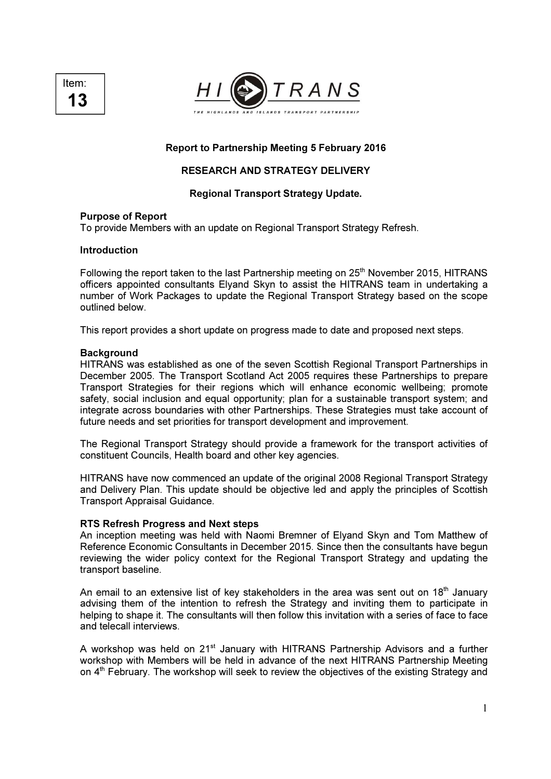



Report to Partnership Meeting 5 February 2016

# RESEARCH AND STRATEGY DELIVERY

### Regional Transport Strategy Update.

#### Purpose of Report

To provide Members with an update on Regional Transport Strategy Refresh.

### Introduction

Following the report taken to the last Partnership meeting on 25<sup>th</sup> November 2015, HITRANS officers appointed consultants Elyand Skyn to assist the HITRANS team in undertaking a number of Work Packages to update the Regional Transport Strategy based on the scope outlined below.

This report provides a short update on progress made to date and proposed next steps.

#### **Background**

HITRANS was established as one of the seven Scottish Regional Transport Partnerships in December 2005. The Transport Scotland Act 2005 requires these Partnerships to prepare Transport Strategies for their regions which will enhance economic wellbeing; promote safety, social inclusion and equal opportunity; plan for a sustainable transport system; and integrate across boundaries with other Partnerships. These Strategies must take account of future needs and set priorities for transport development and improvement.

The Regional Transport Strategy should provide a framework for the transport activities of constituent Councils, Health board and other key agencies.

HITRANS have now commenced an update of the original 2008 Regional Transport Strategy and Delivery Plan. This update should be objective led and apply the principles of Scottish Transport Appraisal Guidance.

#### RTS Refresh Progress and Next steps

An inception meeting was held with Naomi Bremner of Elyand Skyn and Tom Matthew of Reference Economic Consultants in December 2015. Since then the consultants have begun reviewing the wider policy context for the Regional Transport Strategy and updating the transport baseline.

An email to an extensive list of key stakeholders in the area was sent out on  $18<sup>th</sup>$  January advising them of the intention to refresh the Strategy and inviting them to participate in helping to shape it. The consultants will then follow this invitation with a series of face to face and telecall interviews.

A workshop was held on 21<sup>st</sup> January with HITRANS Partnership Advisors and a further workshop with Members will be held in advance of the next HITRANS Partnership Meeting on 4<sup>th</sup> February. The workshop will seek to review the objectives of the existing Strategy and